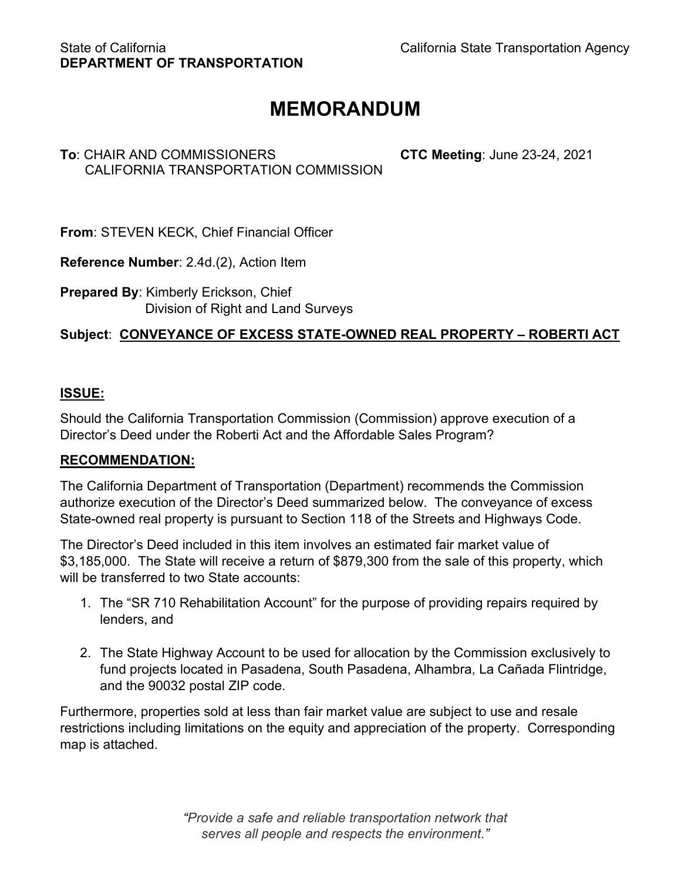# **MEMORANDUM**

# **To**: CHAIR AND COMMISSIONERS **CTC Meeting**: June 23-24, 2021 CALIFORNIA TRANSPORTATION COMMISSION

**From**: STEVEN KECK, Chief Financial Officer

**Reference Number**: 2.4d.(2), Action Item

**Prepared By**: Kimberly Erickson, Chief Division of Right and Land Surveys

# **Subject**: **CONVEYANCE OF EXCESS STATE-OWNED REAL PROPERTY – ROBERTI ACT**

## **ISSUE:**

Should the California Transportation Commission (Commission) approve execution of a Director's Deed under the Roberti Act and the Affordable Sales Program?

### **RECOMMENDATION:**

The California Department of Transportation (Department) recommends the Commission authorize execution of the Director's Deed summarized below. The conveyance of excess State-owned real property is pursuant to Section 118 of the Streets and Highways Code.

The Director's Deed included in this item involves an estimated fair market value of \$3,185,000. The State will receive a return of \$879,300 from the sale of this property, which will be transferred to two State accounts:

- 1. The "SR 710 Rehabilitation Account" for the purpose of providing repairs required by lenders, and
- 2. The State Highway Account to be used for allocation by the Commission exclusively to fund projects located in Pasadena, South Pasadena, Alhambra, La Cañada Flintridge, and the 90032 postal ZIP code.

Furthermore, properties sold at less than fair market value are subject to use and resale restrictions including limitations on the equity and appreciation of the property. Corresponding map is attached.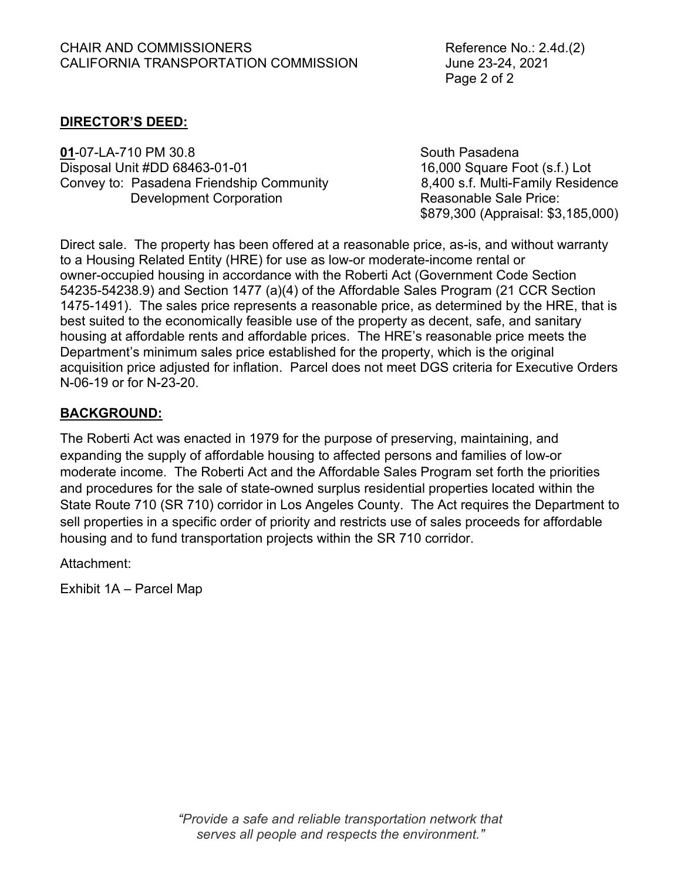Page 2 of 2

## **DIRECTOR'S DEED:**

**01**-07-LA-710 PM 30.8 South Pasadena Disposal Unit #DD 68463-01-01 16,000 Square Foot (s.f.) Lot Convey to: Pasadena Friendship Community 8,400 s.f. Multi-Family Residence Development Corporation **Reasonable Sale Price:** 

\$879,300 (Appraisal: \$3,185,000)

Direct sale. The property has been offered at a reasonable price, as-is, and without warranty to a Housing Related Entity (HRE) for use as low-or moderate-income rental or owner-occupied housing in accordance with the Roberti Act (Government Code Section 54235-54238.9) and Section 1477 (a)(4) of the Affordable Sales Program (21 CCR Section 1475-1491). The sales price represents a reasonable price, as determined by the HRE, that is best suited to the economically feasible use of the property as decent, safe, and sanitary housing at affordable rents and affordable prices. The HRE's reasonable price meets the Department's minimum sales price established for the property, which is the original acquisition price adjusted for inflation. Parcel does not meet DGS criteria for Executive Orders N-06-19 or for N-23-20.

### **BACKGROUND:**

The Roberti Act was enacted in 1979 for the purpose of preserving, maintaining, and expanding the supply of affordable housing to affected persons and families of low-or moderate income. The Roberti Act and the Affordable Sales Program set forth the priorities and procedures for the sale of state-owned surplus residential properties located within the State Route 710 (SR 710) corridor in Los Angeles County. The Act requires the Department to sell properties in a specific order of priority and restricts use of sales proceeds for affordable housing and to fund transportation projects within the SR 710 corridor.

Attachment:

Exhibit 1A – Parcel Map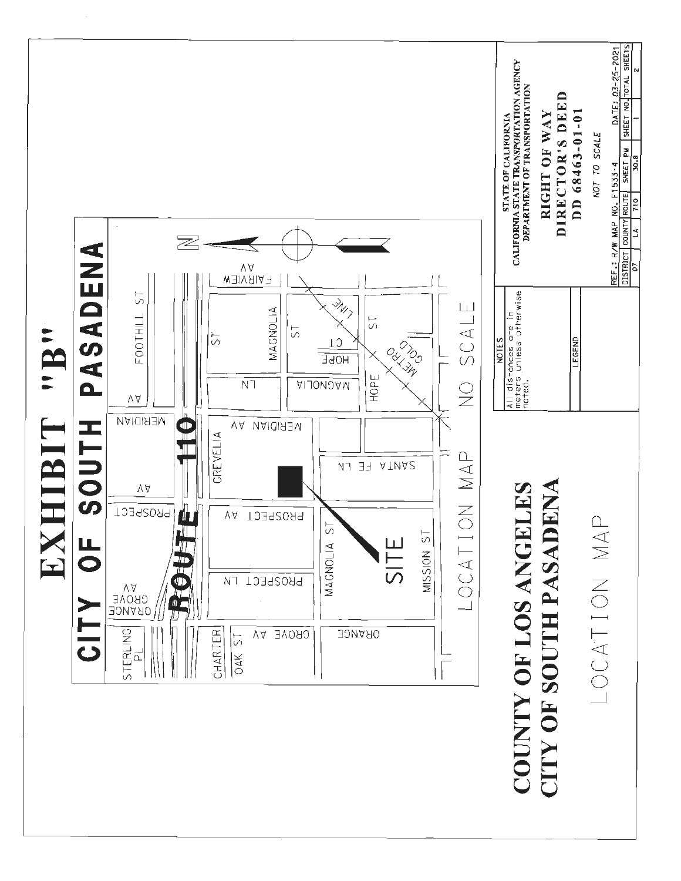